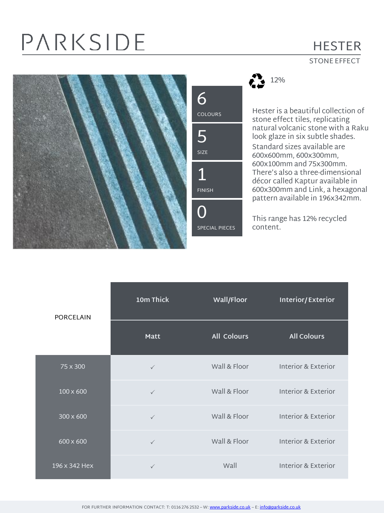# PARKSIDE

### **HESTER**

#### STONE EFFECT







Hester is a beautiful collection of stone effect tiles, replicating natural volcanic stone with a Raku look glaze in six subtle shades. Standard sizes available are 600x600mm, 600x300mm, 600x100mm and 75x300mm. There's also a three-dimensional décor called Kaptur available in 600x300mm and Link, a hexagonal pattern available in 196x342mm.

This range has 12% recycled content.

| <b>PORCELAIN</b> | 10m Thick    | Wall/Floor         | Interior/Exterior   |
|------------------|--------------|--------------------|---------------------|
|                  | <b>Matt</b>  | <b>All Colours</b> | <b>All Colours</b>  |
| 75 x 300         | $\checkmark$ | Wall & Floor       | Interior & Exterior |
| $100 \times 600$ | $\checkmark$ | Wall & Floor       | Interior & Exterior |
| 300 x 600        | $\checkmark$ | Wall & Floor       | Interior & Exterior |
| 600 x 600        | $\checkmark$ | Wall & Floor       | Interior & Exterior |
| 196 x 342 Hex    | $\checkmark$ | Wall               | Interior & Exterior |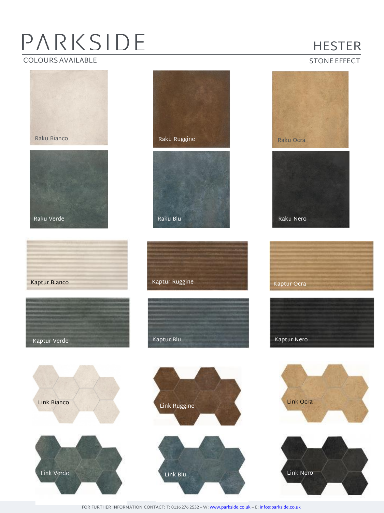## PARKSIDE COLOURS AVAILABLE

### HESTER

#### STONE EFFECT



FOR FURTHER INFORMATION CONTACT: T: 0116 276 2532 – W: [www.parkside.co.uk](http://www.parkside.co.uk/) – E: [info@parkside.co.uk](mailto:info@parkside.co.uk)